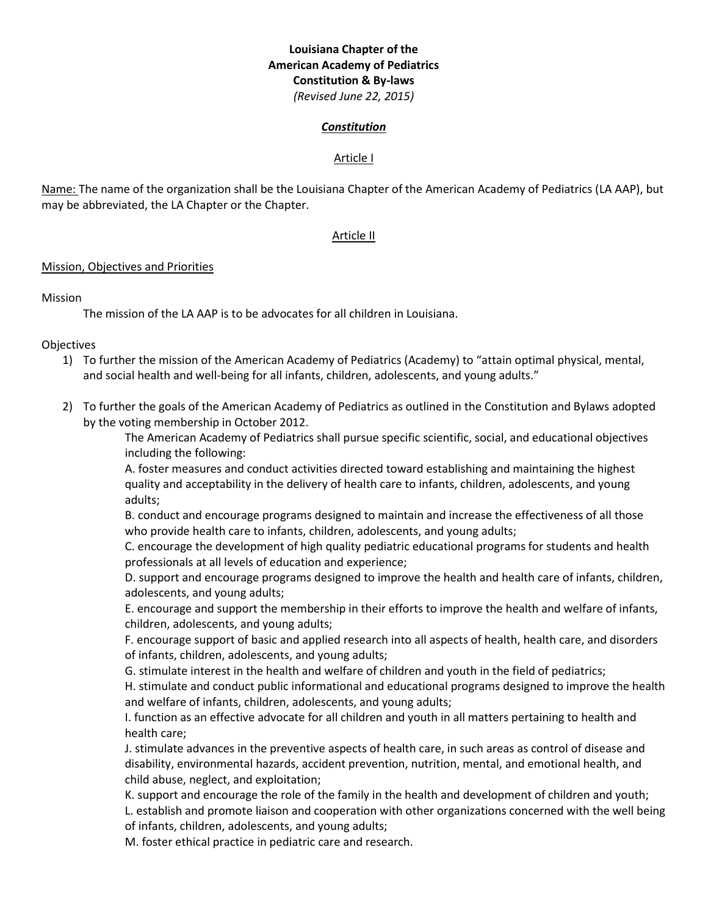# **Louisiana Chapter of the American Academy of Pediatrics Constitution & By-laws** *(Revised June 22, 2015)*

## *Constitution*

## Article I

Name: The name of the organization shall be the Louisiana Chapter of the American Academy of Pediatrics (LA AAP), but may be abbreviated, the LA Chapter or the Chapter.

## Article II

## Mission, Objectives and Priorities

## Mission

The mission of the LA AAP is to be advocates for all children in Louisiana.

## **Objectives**

- 1) To further the mission of the American Academy of Pediatrics (Academy) to "attain optimal physical, mental, and social health and well-being for all infants, children, adolescents, and young adults."
- 2) To further the goals of the American Academy of Pediatrics as outlined in the Constitution and Bylaws adopted by the voting membership in October 2012.

The American Academy of Pediatrics shall pursue specific scientific, social, and educational objectives including the following:

A. foster measures and conduct activities directed toward establishing and maintaining the highest quality and acceptability in the delivery of health care to infants, children, adolescents, and young adults;

B. conduct and encourage programs designed to maintain and increase the effectiveness of all those who provide health care to infants, children, adolescents, and young adults;

C. encourage the development of high quality pediatric educational programs for students and health professionals at all levels of education and experience;

D. support and encourage programs designed to improve the health and health care of infants, children, adolescents, and young adults;

E. encourage and support the membership in their efforts to improve the health and welfare of infants, children, adolescents, and young adults;

F. encourage support of basic and applied research into all aspects of health, health care, and disorders of infants, children, adolescents, and young adults;

G. stimulate interest in the health and welfare of children and youth in the field of pediatrics;

H. stimulate and conduct public informational and educational programs designed to improve the health and welfare of infants, children, adolescents, and young adults;

I. function as an effective advocate for all children and youth in all matters pertaining to health and health care;

J. stimulate advances in the preventive aspects of health care, in such areas as control of disease and disability, environmental hazards, accident prevention, nutrition, mental, and emotional health, and child abuse, neglect, and exploitation;

K. support and encourage the role of the family in the health and development of children and youth;

L. establish and promote liaison and cooperation with other organizations concerned with the well being of infants, children, adolescents, and young adults;

M. foster ethical practice in pediatric care and research.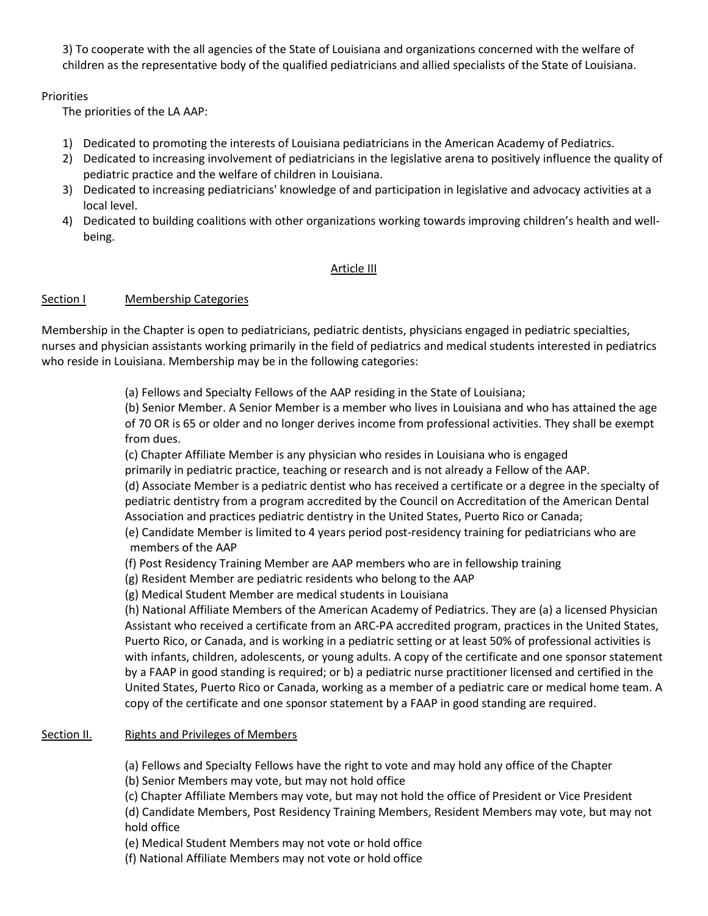3) To cooperate with the all agencies of the State of Louisiana and organizations concerned with the welfare of children as the representative body of the qualified pediatricians and allied specialists of the State of Louisiana.

## Priorities

The priorities of the LA AAP:

- 1) Dedicated to promoting the interests of Louisiana pediatricians in the American Academy of Pediatrics.
- 2) Dedicated to increasing involvement of pediatricians in the legislative arena to positively influence the quality of pediatric practice and the welfare of children in Louisiana.
- 3) Dedicated to increasing pediatricians' knowledge of and participation in legislative and advocacy activities at a local level.
- 4) Dedicated to building coalitions with other organizations working towards improving children's health and wellbeing.

## Article III

## Section I Membership Categories

Membership in the Chapter is open to pediatricians, pediatric dentists, physicians engaged in pediatric specialties, nurses and physician assistants working primarily in the field of pediatrics and medical students interested in pediatrics who reside in Louisiana. Membership may be in the following categories:

(a) Fellows and Specialty Fellows of the AAP residing in the State of Louisiana;

(b) Senior Member. A Senior Member is a member who lives in Louisiana and who has attained the age of 70 OR is 65 or older and no longer derives income from professional activities. They shall be exempt from dues.

(c) Chapter Affiliate Member is any physician who resides in Louisiana who is engaged primarily in pediatric practice, teaching or research and is not already a Fellow of the AAP.

(d) Associate Member is a pediatric dentist who has received a certificate or a degree in the specialty of pediatric dentistry from a program accredited by the Council on Accreditation of the American Dental Association and practices pediatric dentistry in the United States, Puerto Rico or Canada;

(e) Candidate Member is limited to 4 years period post-residency training for pediatricians who are members of the AAP

(f) Post Residency Training Member are AAP members who are in fellowship training

(g) Resident Member are pediatric residents who belong to the AAP

(g) Medical Student Member are medical students in Louisiana

(h) National Affiliate Members of the American Academy of Pediatrics. They are (a) a licensed Physician Assistant who received a certificate from an ARC-PA accredited program, practices in the United States, Puerto Rico, or Canada, and is working in a pediatric setting or at least 50% of professional activities is with infants, children, adolescents, or young adults. A copy of the certificate and one sponsor statement by a FAAP in good standing is required; or b) a pediatric nurse practitioner licensed and certified in the United States, Puerto Rico or Canada, working as a member of a pediatric care or medical home team. A copy of the certificate and one sponsor statement by a FAAP in good standing are required.

# Section II. Rights and Privileges of Members

(a) Fellows and Specialty Fellows have the right to vote and may hold any office of the Chapter

(b) Senior Members may vote, but may not hold office

(c) Chapter Affiliate Members may vote, but may not hold the office of President or Vice President

(d) Candidate Members, Post Residency Training Members, Resident Members may vote, but may not hold office

(e) Medical Student Members may not vote or hold office

(f) National Affiliate Members may not vote or hold office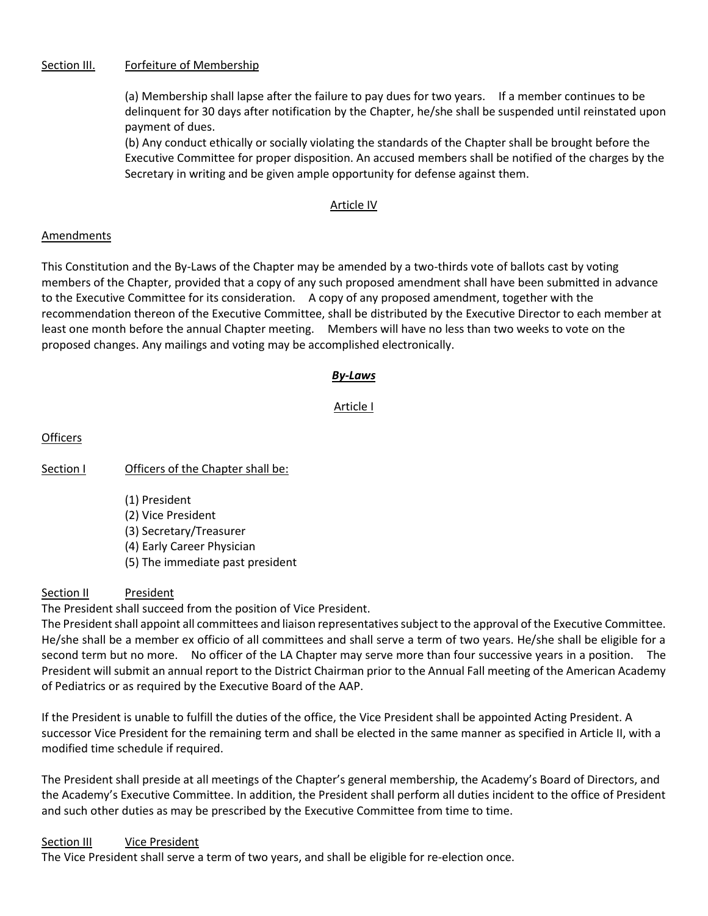## Section III. Forfeiture of Membership

(a) Membership shall lapse after the failure to pay dues for two years. If a member continues to be delinquent for 30 days after notification by the Chapter, he/she shall be suspended until reinstated upon payment of dues.

(b) Any conduct ethically or socially violating the standards of the Chapter shall be brought before the Executive Committee for proper disposition. An accused members shall be notified of the charges by the Secretary in writing and be given ample opportunity for defense against them.

## Article IV

## Amendments

This Constitution and the By-Laws of the Chapter may be amended by a two-thirds vote of ballots cast by voting members of the Chapter, provided that a copy of any such proposed amendment shall have been submitted in advance to the Executive Committee for its consideration. A copy of any proposed amendment, together with the recommendation thereon of the Executive Committee, shall be distributed by the Executive Director to each member at least one month before the annual Chapter meeting. Members will have no less than two weeks to vote on the proposed changes. Any mailings and voting may be accomplished electronically.

## *By-Laws*

## Article I

**Officers** 

- Section I Officers of the Chapter shall be:
	- (1) President (2) Vice President (3) Secretary/Treasurer (4) Early Career Physician (5) The immediate past president

#### Section II President

The President shall succeed from the position of Vice President.

The President shall appoint all committees and liaison representatives subject to the approval of the Executive Committee. He/she shall be a member ex officio of all committees and shall serve a term of two years. He/she shall be eligible for a second term but no more. No officer of the LA Chapter may serve more than four successive years in a position. The President will submit an annual report to the District Chairman prior to the Annual Fall meeting of the American Academy of Pediatrics or as required by the Executive Board of the AAP.

If the President is unable to fulfill the duties of the office, the Vice President shall be appointed Acting President. A successor Vice President for the remaining term and shall be elected in the same manner as specified in Article II, with a modified time schedule if required.

The President shall preside at all meetings of the Chapter's general membership, the Academy's Board of Directors, and the Academy's Executive Committee. In addition, the President shall perform all duties incident to the office of President and such other duties as may be prescribed by the Executive Committee from time to time.

#### Section III Vice President

The Vice President shall serve a term of two years, and shall be eligible for re-election once.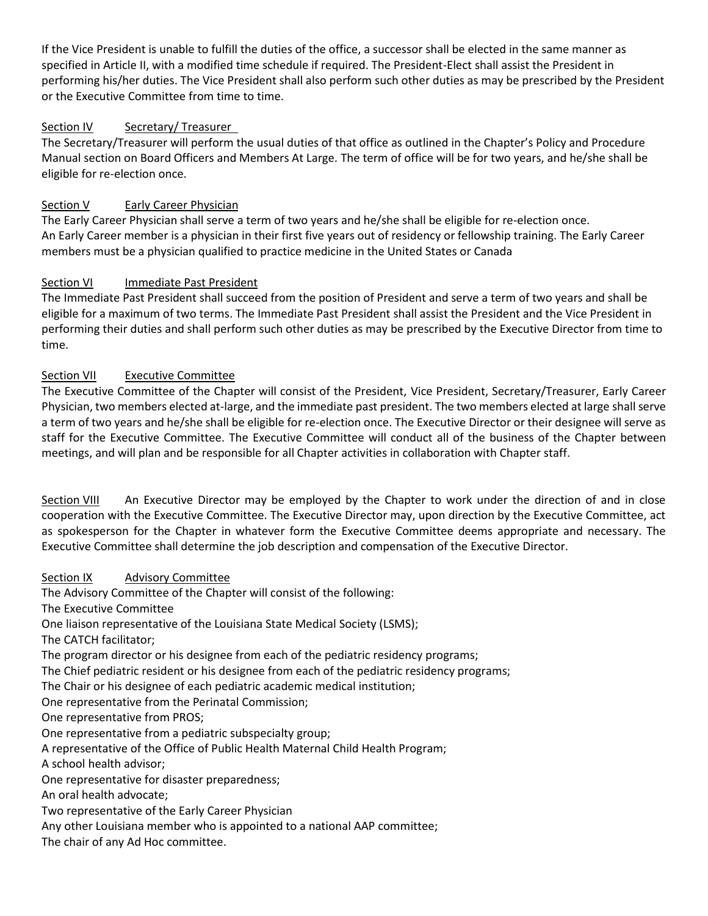If the Vice President is unable to fulfill the duties of the office, a successor shall be elected in the same manner as specified in Article II, with a modified time schedule if required. The President-Elect shall assist the President in performing his/her duties. The Vice President shall also perform such other duties as may be prescribed by the President or the Executive Committee from time to time.

# Section IV Secretary/ Treasurer

The Secretary/Treasurer will perform the usual duties of that office as outlined in the Chapter's Policy and Procedure Manual section on Board Officers and Members At Large. The term of office will be for two years, and he/she shall be eligible for re-election once.

# Section V Early Career Physician

The Early Career Physician shall serve a term of two years and he/she shall be eligible for re-election once. An Early Career member is a physician in their first five years out of residency or fellowship training. The Early Career members must be a physician qualified to practice medicine in the United States or Canada

# Section VI Immediate Past President

The Immediate Past President shall succeed from the position of President and serve a term of two years and shall be eligible for a maximum of two terms. The Immediate Past President shall assist the President and the Vice President in performing their duties and shall perform such other duties as may be prescribed by the Executive Director from time to time.

# Section VII Executive Committee

The Executive Committee of the Chapter will consist of the President, Vice President, Secretary/Treasurer, Early Career Physician, two members elected at-large, and the immediate past president. The two members elected at large shall serve a term of two years and he/she shall be eligible for re-election once. The Executive Director or their designee will serve as staff for the Executive Committee. The Executive Committee will conduct all of the business of the Chapter between meetings, and will plan and be responsible for all Chapter activities in collaboration with Chapter staff.

Section VIII An Executive Director may be employed by the Chapter to work under the direction of and in close cooperation with the Executive Committee. The Executive Director may, upon direction by the Executive Committee, act as spokesperson for the Chapter in whatever form the Executive Committee deems appropriate and necessary. The Executive Committee shall determine the job description and compensation of the Executive Director.

# Section IX Advisory Committee

The Advisory Committee of the Chapter will consist of the following:

The Executive Committee

One liaison representative of the Louisiana State Medical Society (LSMS);

The CATCH facilitator;

The program director or his designee from each of the pediatric residency programs;

The Chief pediatric resident or his designee from each of the pediatric residency programs;

The Chair or his designee of each pediatric academic medical institution;

One representative from the Perinatal Commission;

One representative from PROS;

One representative from a pediatric subspecialty group;

A representative of the Office of Public Health Maternal Child Health Program;

A school health advisor;

One representative for disaster preparedness;

An oral health advocate;

Two representative of the Early Career Physician

Any other Louisiana member who is appointed to a national AAP committee;

The chair of any Ad Hoc committee.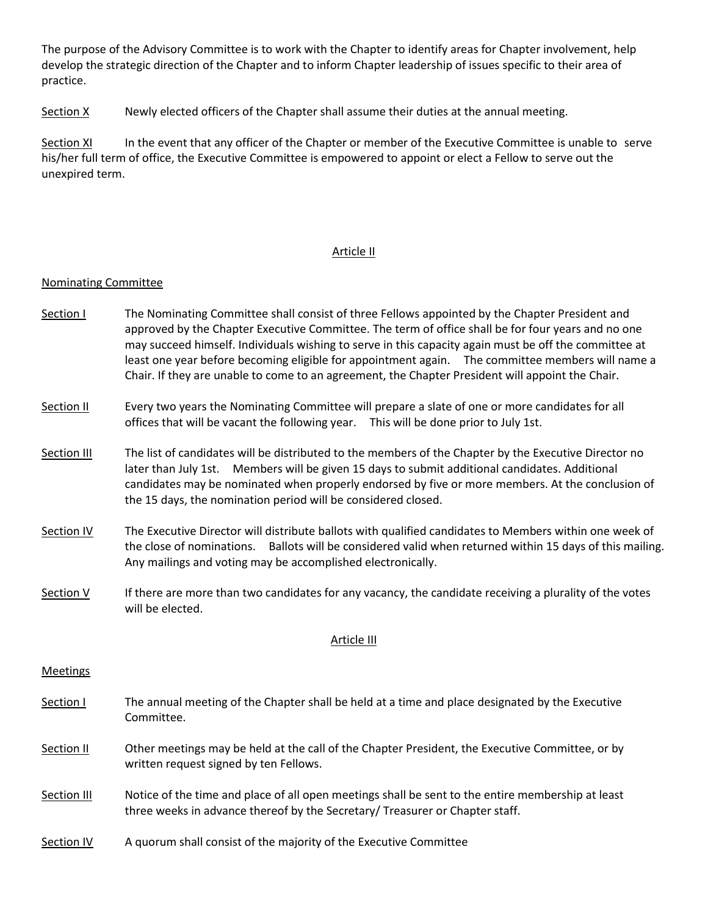The purpose of the Advisory Committee is to work with the Chapter to identify areas for Chapter involvement, help develop the strategic direction of the Chapter and to inform Chapter leadership of issues specific to their area of practice.

Section X Newly elected officers of the Chapter shall assume their duties at the annual meeting.

Section XI In the event that any officer of the Chapter or member of the Executive Committee is unable to serve his/her full term of office, the Executive Committee is empowered to appoint or elect a Fellow to serve out the unexpired term.

## Article II

## Nominating Committee

- Section I The Nominating Committee shall consist of three Fellows appointed by the Chapter President and approved by the Chapter Executive Committee. The term of office shall be for four years and no one may succeed himself. Individuals wishing to serve in this capacity again must be off the committee at least one year before becoming eligible for appointment again. The committee members will name a Chair. If they are unable to come to an agreement, the Chapter President will appoint the Chair.
- Section II Every two years the Nominating Committee will prepare a slate of one or more candidates for all offices that will be vacant the following year. This will be done prior to July 1st.
- Section III The list of candidates will be distributed to the members of the Chapter by the Executive Director no later than July 1st. Members will be given 15 days to submit additional candidates. Additional candidates may be nominated when properly endorsed by five or more members. At the conclusion of the 15 days, the nomination period will be considered closed.
- Section IV The Executive Director will distribute ballots with qualified candidates to Members within one week of the close of nominations. Ballots will be considered valid when returned within 15 days of this mailing. Any mailings and voting may be accomplished electronically.
- Section V If there are more than two candidates for any vacancy, the candidate receiving a plurality of the votes will be elected.

#### Article III

#### **Meetings**

- Section I The annual meeting of the Chapter shall be held at a time and place designated by the Executive Committee.
- Section II Other meetings may be held at the call of the Chapter President, the Executive Committee, or by written request signed by ten Fellows.
- Section III Notice of the time and place of all open meetings shall be sent to the entire membership at least three weeks in advance thereof by the Secretary/ Treasurer or Chapter staff.
- Section IV A quorum shall consist of the majority of the Executive Committee